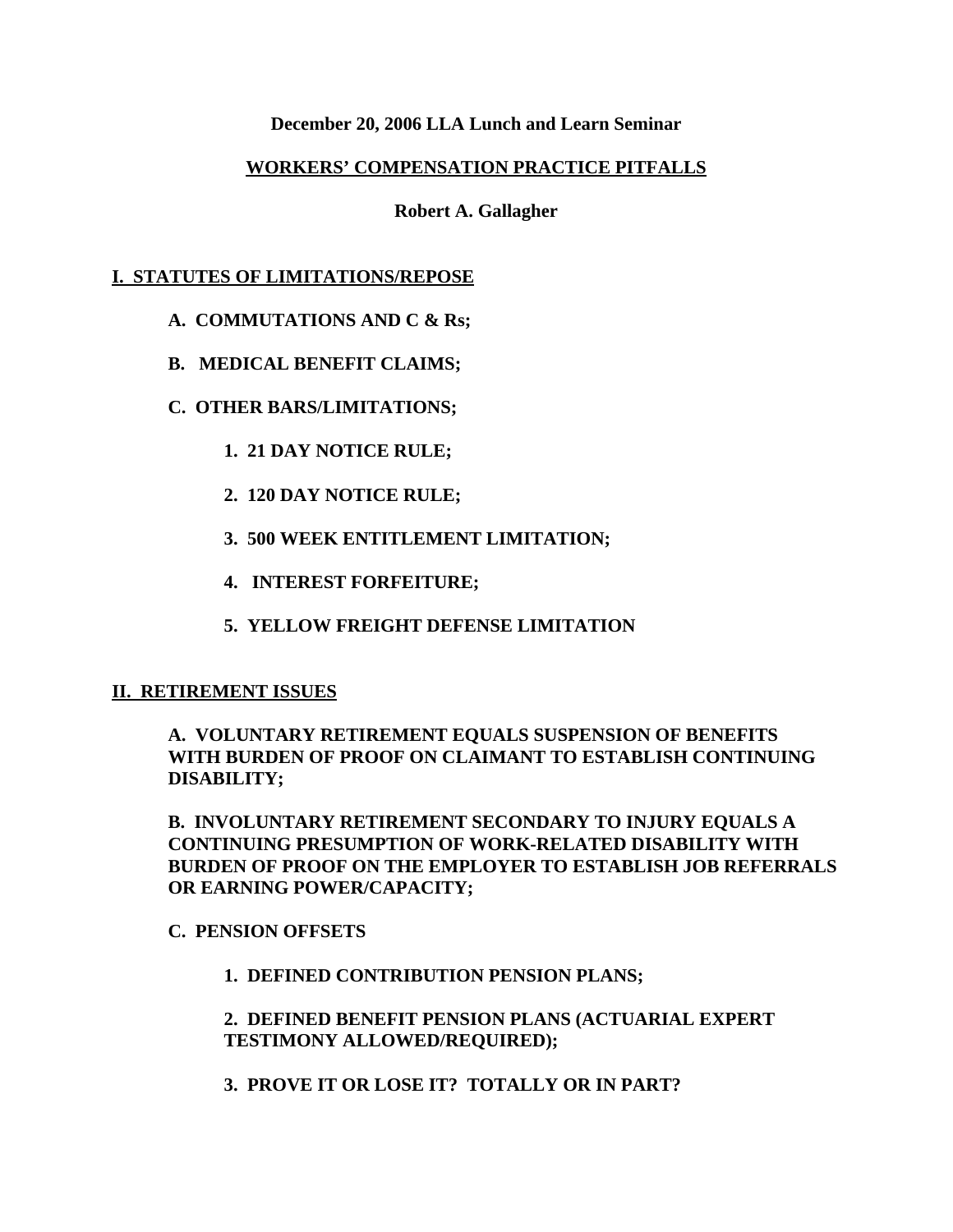## **December 20, 2006 LLA Lunch and Learn Seminar**

## **WORKERS' COMPENSATION PRACTICE PITFALLS**

**Robert A. Gallagher**

## **I. STATUTES OF LIMITATIONS/REPOSE**

- **A. COMMUTATIONS AND C & Rs;**
- **B. MEDICAL BENEFIT CLAIMS;**
- **C. OTHER BARS/LIMITATIONS;**
	- **1. 21 DAY NOTICE RULE;**
	- **2. 120 DAY NOTICE RULE;**
	- **3. 500 WEEK ENTITLEMENT LIMITATION;**
	- **4. INTEREST FORFEITURE;**
	- **5. YELLOW FREIGHT DEFENSE LIMITATION**

## **II. RETIREMENT ISSUES**

## **A. VOLUNTARY RETIREMENT EQUALS SUSPENSION OF BENEFITS WITH BURDEN OF PROOF ON CLAIMANT TO ESTABLISH CONTINUING DISABILITY;**

**B. INVOLUNTARY RETIREMENT SECONDARY TO INJURY EQUALS A CONTINUING PRESUMPTION OF WORK-RELATED DISABILITY WITH BURDEN OF PROOF ON THE EMPLOYER TO ESTABLISH JOB REFERRALS OR EARNING POWER/CAPACITY;**

## **C. PENSION OFFSETS**

**1. DEFINED CONTRIBUTION PENSION PLANS;**

**2. DEFINED BENEFIT PENSION PLANS (ACTUARIAL EXPERT TESTIMONY ALLOWED/REQUIRED);**

**3. PROVE IT OR LOSE IT? TOTALLY OR IN PART?**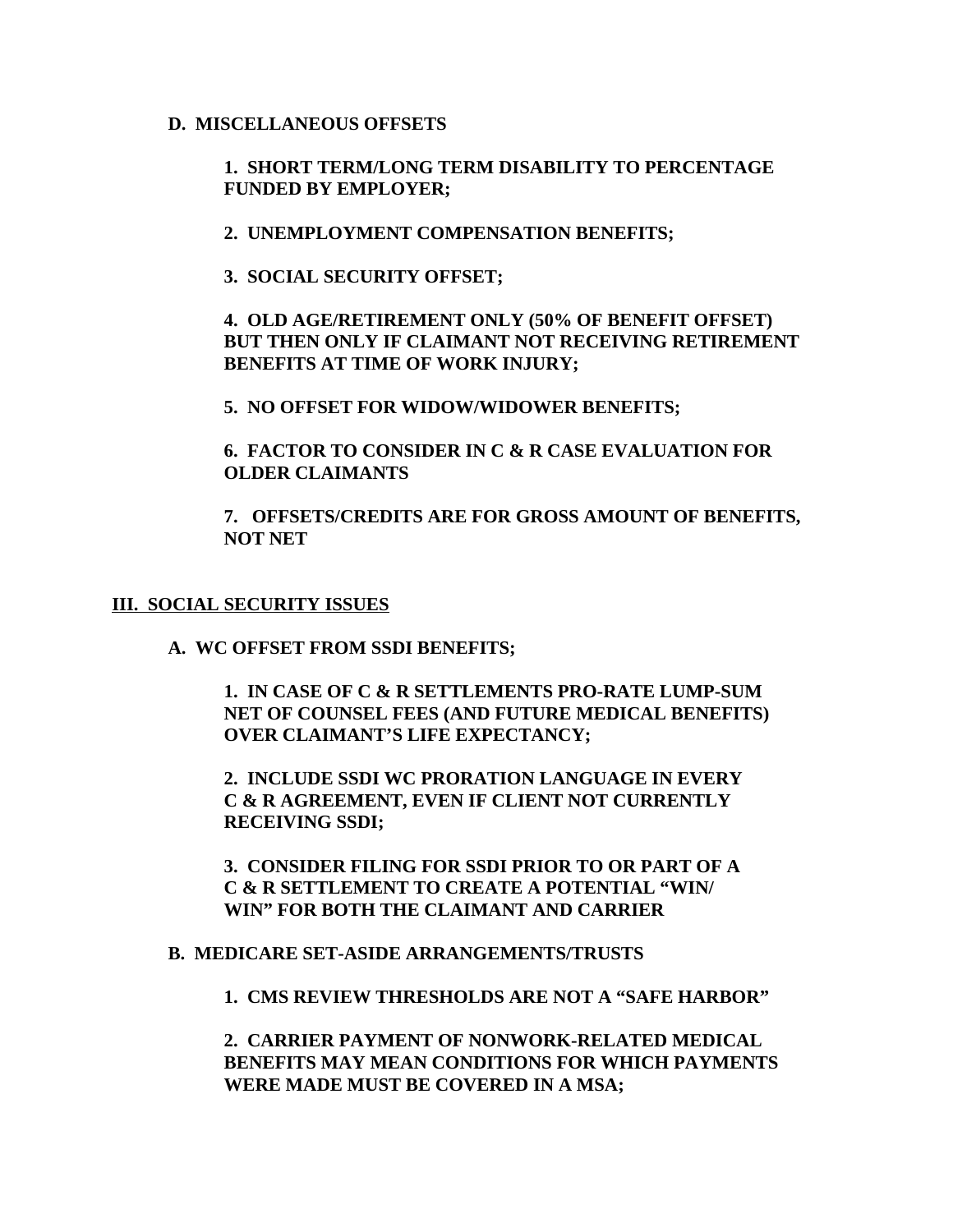## **D. MISCELLANEOUS OFFSETS**

**1. SHORT TERM/LONG TERM DISABILITY TO PERCENTAGE FUNDED BY EMPLOYER;**

**2. UNEMPLOYMENT COMPENSATION BENEFITS;**

**3. SOCIAL SECURITY OFFSET;**

**4. OLD AGE/RETIREMENT ONLY (50% OF BENEFIT OFFSET) BUT THEN ONLY IF CLAIMANT NOT RECEIVING RETIREMENT BENEFITS AT TIME OF WORK INJURY;**

**5. NO OFFSET FOR WIDOW/WIDOWER BENEFITS;**

**6. FACTOR TO CONSIDER IN C & R CASE EVALUATION FOR OLDER CLAIMANTS**

**7. OFFSETS/CREDITS ARE FOR GROSS AMOUNT OF BENEFITS, NOT NET**

#### **III. SOCIAL SECURITY ISSUES**

**A. WC OFFSET FROM SSDI BENEFITS;**

**1. IN CASE OF C & R SETTLEMENTS PRO-RATE LUMP-SUM NET OF COUNSEL FEES (AND FUTURE MEDICAL BENEFITS) OVER CLAIMANT'S LIFE EXPECTANCY;**

**2. INCLUDE SSDI WC PRORATION LANGUAGE IN EVERY C & R AGREEMENT, EVEN IF CLIENT NOT CURRENTLY RECEIVING SSDI;**

**3. CONSIDER FILING FOR SSDI PRIOR TO OR PART OF A C & R SETTLEMENT TO CREATE A POTENTIAL "WIN/ WIN" FOR BOTH THE CLAIMANT AND CARRIER**

## **B. MEDICARE SET-ASIDE ARRANGEMENTS/TRUSTS**

**1. CMS REVIEW THRESHOLDS ARE NOT A "SAFE HARBOR"**

**2. CARRIER PAYMENT OF NONWORK-RELATED MEDICAL BENEFITS MAY MEAN CONDITIONS FOR WHICH PAYMENTS WERE MADE MUST BE COVERED IN A MSA;**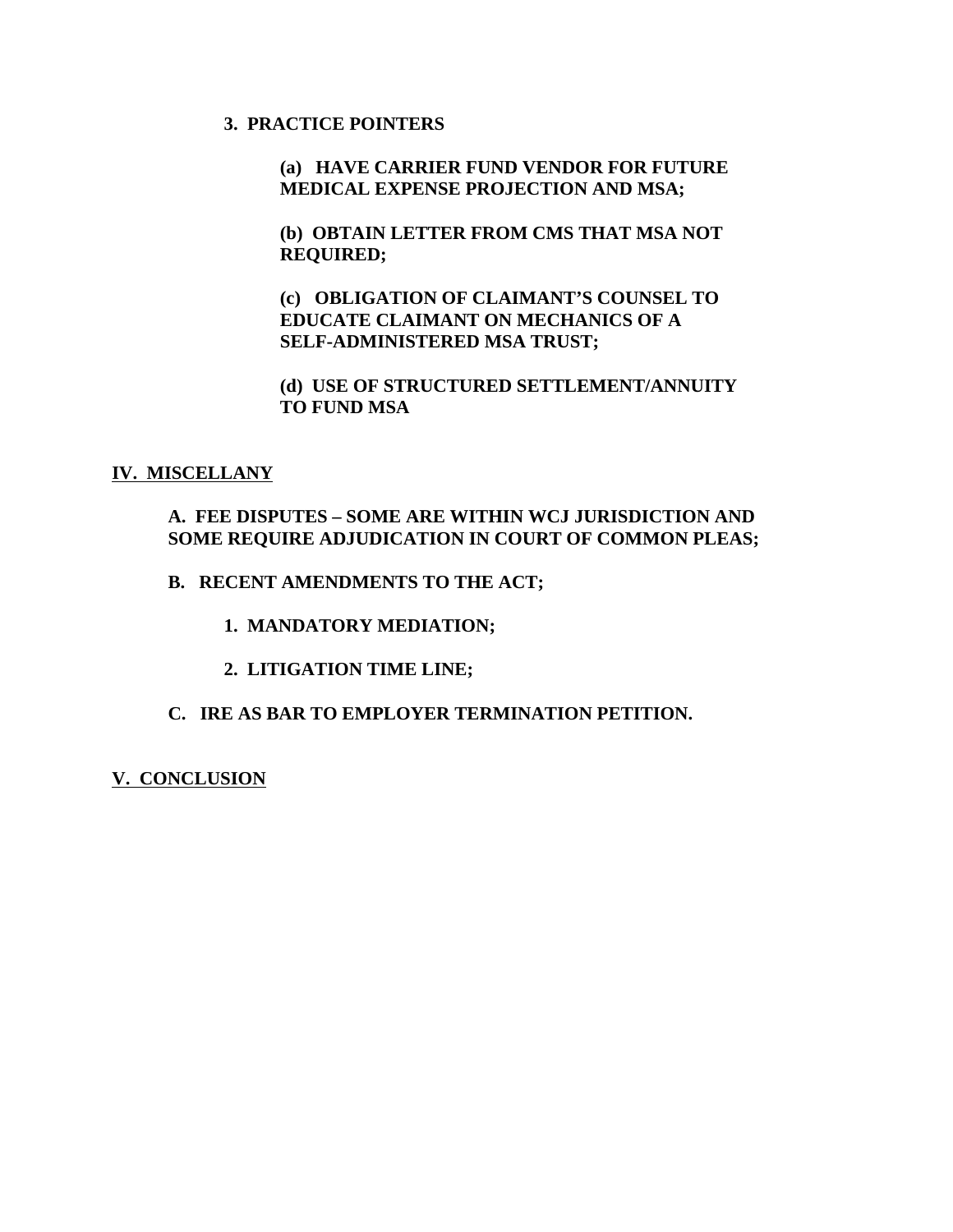## **3. PRACTICE POINTERS**

**(a) HAVE CARRIER FUND VENDOR FOR FUTURE MEDICAL EXPENSE PROJECTION AND MSA;**

**(b) OBTAIN LETTER FROM CMS THAT MSA NOT REQUIRED;**

**(c) OBLIGATION OF CLAIMANT'S COUNSEL TO EDUCATE CLAIMANT ON MECHANICS OF A SELF-ADMINISTERED MSA TRUST;**

**(d) USE OF STRUCTURED SETTLEMENT/ANNUITY TO FUND MSA**

#### **IV. MISCELLANY**

## **A. FEE DISPUTES – SOME ARE WITHIN WCJ JURISDICTION AND SOME REQUIRE ADJUDICATION IN COURT OF COMMON PLEAS;**

**B. RECENT AMENDMENTS TO THE ACT;**

**1. MANDATORY MEDIATION;**

**2. LITIGATION TIME LINE;**

## **C. IRE AS BAR TO EMPLOYER TERMINATION PETITION.**

**V. CONCLUSION**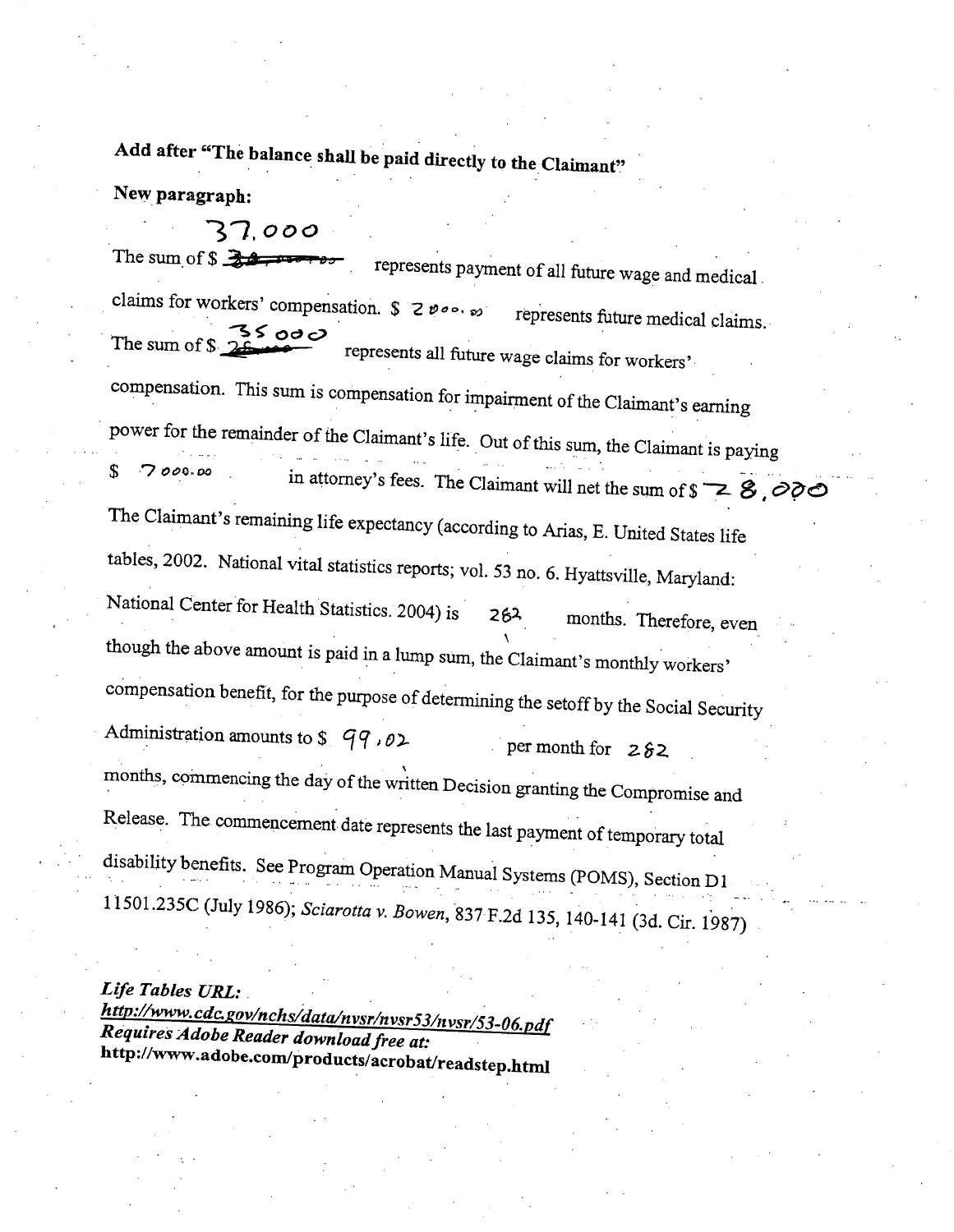Add after "The balance shall be paid directly to the Claimant"

New paragraph:

37.000 The sum of  $$322$ represents payment of all future wage and medical. claims for workers' compensation.  $\int$  2  $\vartheta$   $\circ$   $\cdot$   $\cdot$   $\circ$ represents future medical claims. ५८ ००० The sum of \$ represents all future wage claims for workers' compensation. This sum is compensation for impairment of the Claimant's earning power for the remainder of the Claimant's life. Out of this sum, the Claimant is paying  $\mathbf S$ 7000.00 in attorney's fees. The Claimant will net the sum of  $\sqrt{s}$   $\geq$   $\frac{3}{2}$ The Claimant's remaining life expectancy (according to Arias, E. United States life tables, 2002. National vital statistics reports; vol. 53 no. 6. Hyattsville, Maryland: National Center for Health Statistics. 2004) is months. Therefore, even 262 though the above amount is paid in a lump sum, the Claimant's monthly workers' compensation benefit, for the purpose of determining the setoff by the Social Security Administration amounts to  $\frac{1}{2}$   $\frac{99}{102}$ per month for  $282$ months, commencing the day of the written Decision granting the Compromise and Release. The commencement date represents the last payment of temporary total disability benefits. See Program Operation Manual Systems (POMS), Section D1 11501.235C (July 1986); Sciarotta v. Bowen, 837 F.2d 135, 140-141 (3d. Cir. 1987)

Life Tables URL:

http://www.cdc.gov/nchs/data/nvsr/nvsr53/nvsr/53-06.pdf Requires Adobe Reader download free at: http://www.adobe.com/products/acrobat/readstep.html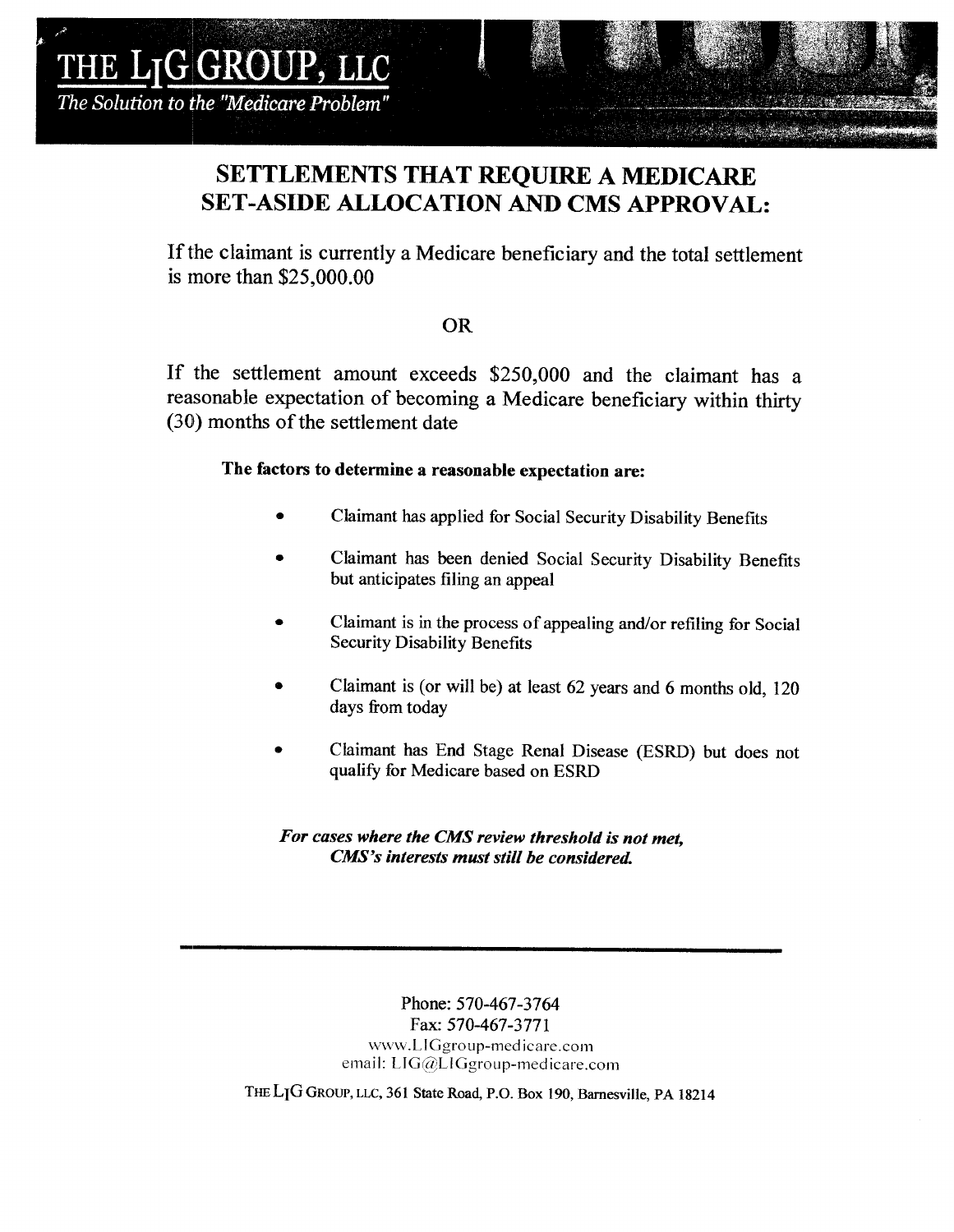## **SETTLEMENTS THAT REOUIRE A MEDICARE SET-ASIDE ALLOCATION AND CMS APPROVAL:**

If the claimant is currently a Medicare beneficiary and the total settlement is more than  $$25,000.00$ 

## **OR**

If the settlement amount exceeds \$250,000 and the claimant has a reasonable expectation of becoming a Medicare beneficiary within thirty (30) months of the settlement date

## The factors to determine a reasonable expectation are:

- Claimant has applied for Social Security Disability Benefits
- Claimant has been denied Social Security Disability Benefits but anticipates filing an appeal
- Claimant is in the process of appealing and/or refiling for Social **Security Disability Benefits**
- Claimant is (or will be) at least 62 years and 6 months old, 120 days from today
- Claimant has End Stage Renal Disease (ESRD) but does not qualify for Medicare based on ESRD

## For cases where the CMS review threshold is not met. CMS's interests must still be considered.

Phone: 570-467-3764 Fax: 570-467-3771 www.LIGgroup-medicare.com email: LIG@LIGgroup-medicare.com

THE LIG GROUP, LLC, 361 State Road, P.O. Box 190, Barnesville, PA 18214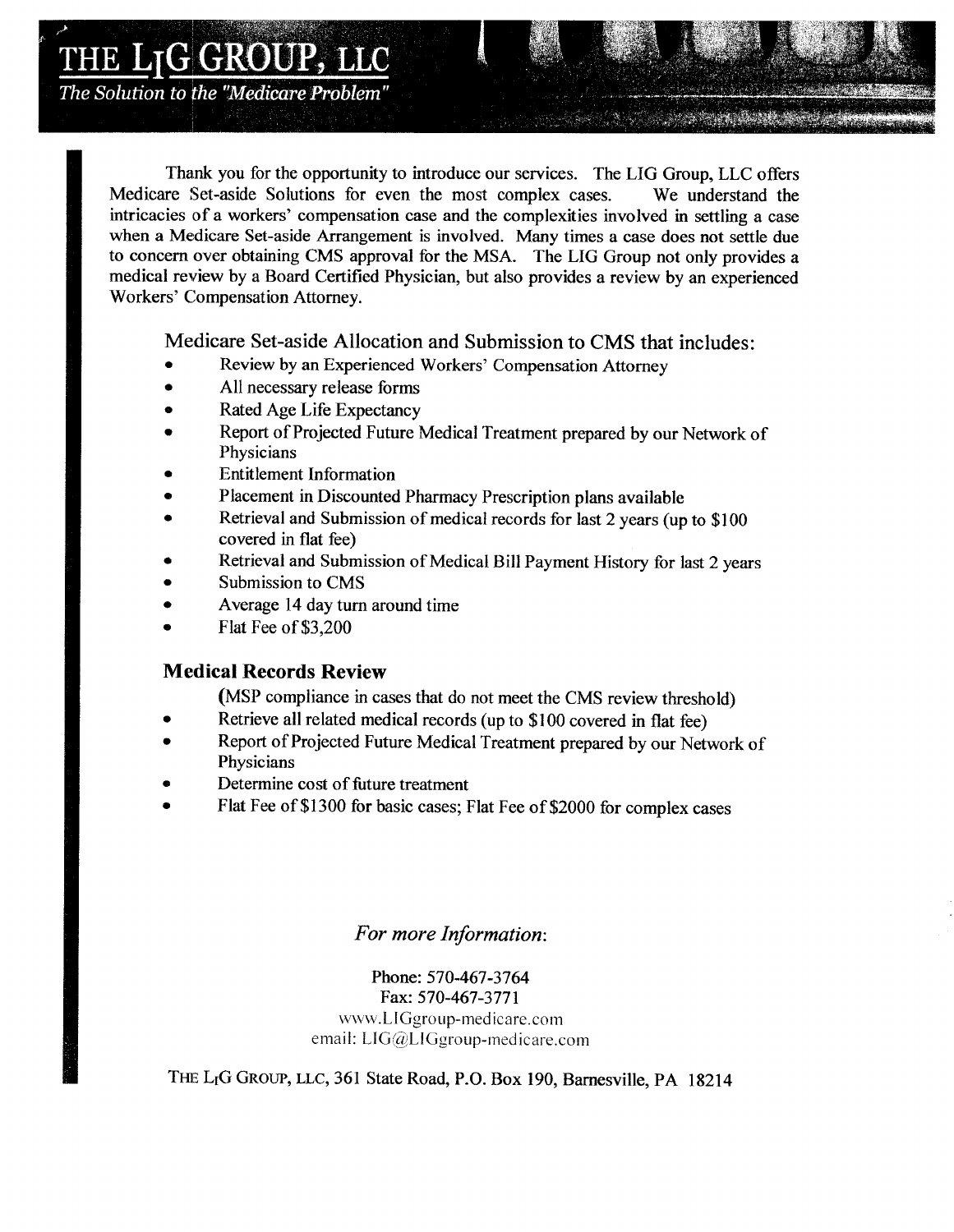## LTGGROUP, LLC

The Solution to the "Medicare Problem"

Thank you for the opportunity to introduce our services. The LIG Group, LLC offers Medicare Set-aside Solutions for even the most complex cases. We understand the intricacies of a workers' compensation case and the complexities involved in settling a case when a Medicare Set-aside Arrangement is involved. Many times a case does not settle due to concern over obtaining CMS approval for the MSA. The LIG Group not only provides a medical review by a Board Certified Physician, but also provides a review by an experienced Workers' Compensation Attorney.

Medicare Set-aside Allocation and Submission to CMS that includes:

- Review by an Experienced Workers' Compensation Attorney
- All necessary release forms
- Rated Age Life Expectancy
- Report of Projected Future Medical Treatment prepared by our Network of Physicians
- **Entitlement Information**
- Placement in Discounted Pharmacy Prescription plans available
- Retrieval and Submission of medical records for last 2 years (up to \$100) covered in flat fee)
- Retrieval and Submission of Medical Bill Payment History for last 2 years
- Submission to CMS
- Average 14 day turn around time
- Flat Fee of \$3,200

## **Medical Records Review**

(MSP compliance in cases that do not meet the CMS review threshold)

- Retrieve all related medical records (up to \$100 covered in flat fee)
- Report of Projected Future Medical Treatment prepared by our Network of Physicians
- Determine cost of future treatment
- Flat Fee of \$1300 for basic cases; Flat Fee of \$2000 for complex cases

## For more Information:

Phone: 570-467-3764 Fax: 570-467-3771 www.LIGgroup-medicare.com email: LIG@LIGgroup-medicare.com

THE L<sub>I</sub>G GROUP, LLC, 361 State Road, P.O. Box 190, Barnesville, PA 18214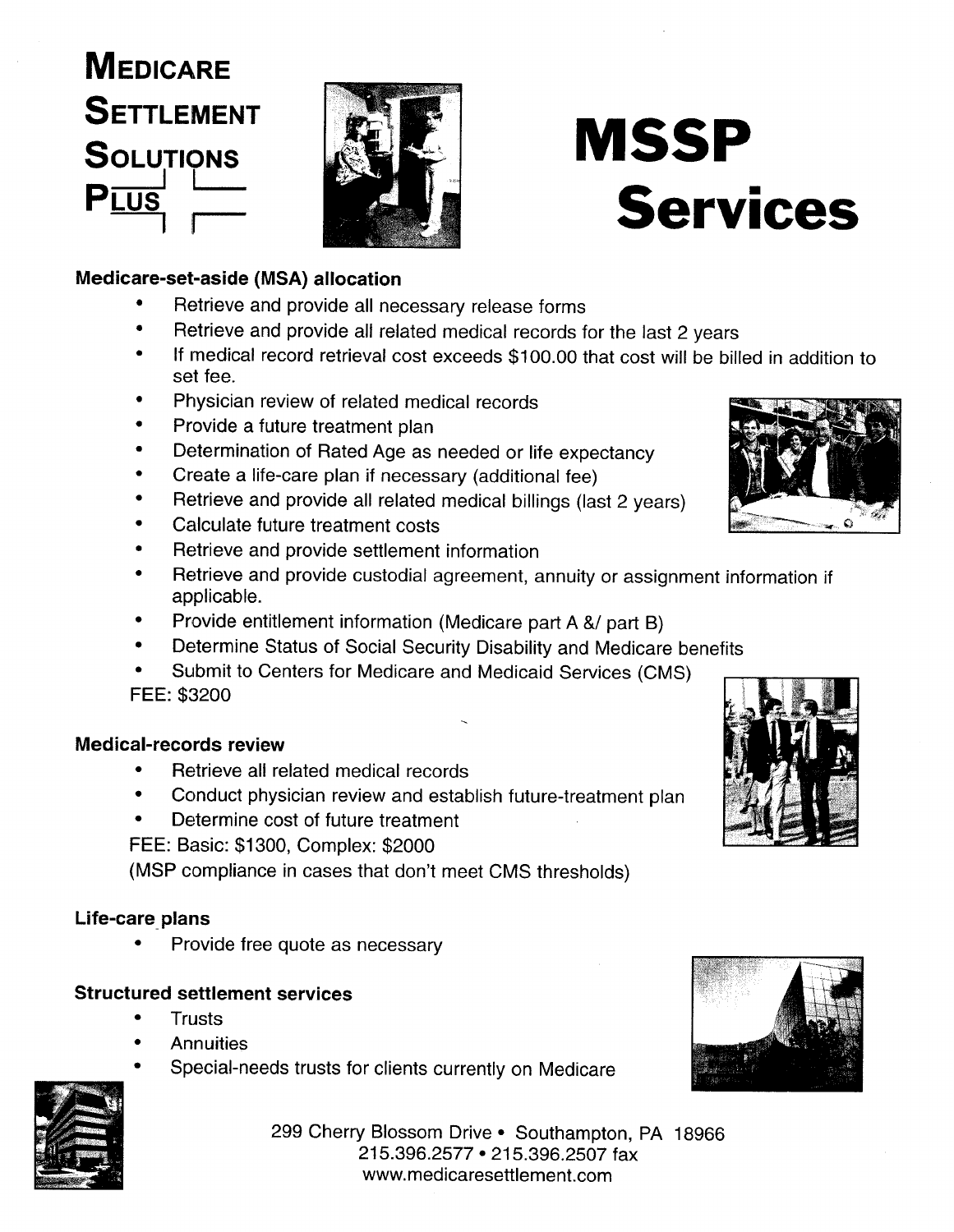# **MEDICARE SETTLEMENT SOLUTIONS**



## Medicare-set-aside (MSA) allocation

- Retrieve and provide all necessary release forms
- Retrieve and provide all related medical records for the last 2 years
- If medical record retrieval cost exceeds \$100.00 that cost will be billed in addition to set fee.

**MSSP** 

**Services** 

- Physician review of related medical records
- Provide a future treatment plan
- Determination of Rated Age as needed or life expectancy
- Create a life-care plan if necessary (additional fee)
- Retrieve and provide all related medical billings (last 2 years)
- Calculate future treatment costs
- Retrieve and provide settlement information
- Retrieve and provide custodial agreement, annuity or assignment information if applicable.
- Provide entitlement information (Medicare part A &/ part B)
- Determine Status of Social Security Disability and Medicare benefits
- Submit to Centers for Medicare and Medicaid Services (CMS) FEE: \$3200

## Medical-records review

- Retrieve all related medical records
- Conduct physician review and establish future-treatment plan
- Determine cost of future treatment

FEE: Basic: \$1300, Complex: \$2000

(MSP compliance in cases that don't meet CMS thresholds)

## Life-care plans

Provide free quote as necessary

## **Structured settlement services**

- **Trusts**
- **Annuities**
- Special-needs trusts for clients currently on Medicare



299 Cherry Blossom Drive . Southampton, PA 18966 215.396.2577 • 215.396.2507 fax www.medicaresettlement.com